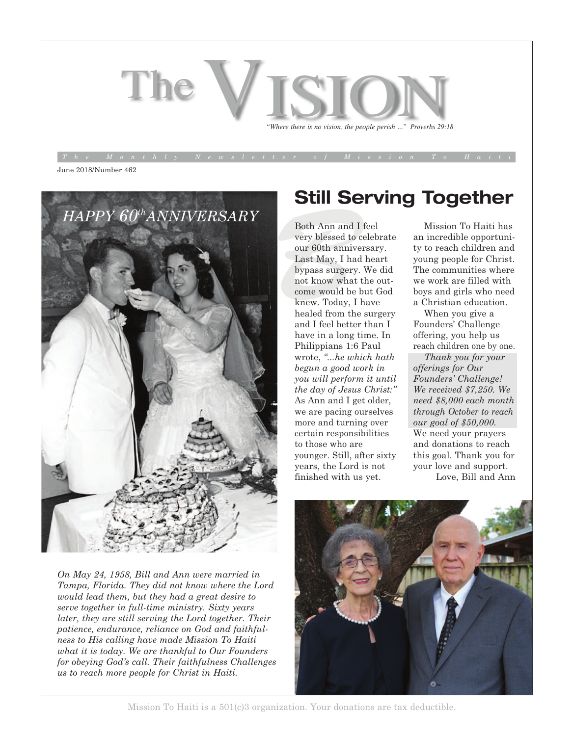# The *is where there is no vision, the people perish ...*" *Proverbs* 29:18

June 2018/Number 462



*On May 24, 1958, Bill and Ann were married in Tampa, Florida. They did not know where the Lord would lead them, but they had a great desire to serve together in full-time ministry. Sixty years later, they are still serving the Lord together. Their patience, endurance, reliance on God and faithfulness to His calling have made Mission To Haiti what it is today. We are thankful to Our Founders for obeying God's call. Their faithfulness Challenges us to reach more people for Christ in Haiti.*

### **Still Serving Together**

Both Ann and I i<br>very blessed to co<br>our 60th anniver<br>Last May, I had<br>bypass surgery.<br>not know what t<br>come would be b Both Ann and I feel very blessed to celebrate our 60th anniversary. Last May, I had heart bypass surgery. We did not know what the outcome would be but God knew. Today, I have healed from the surgery and I feel better than I have in a long time. In Philippians 1:6 Paul wrote, *"...he which hath begun a good work in you will perform it until the day of Jesus Christ:"* As Ann and I get older, we are pacing ourselves more and turning over certain responsibilities to those who are younger. Still, after sixty years, the Lord is not finished with us yet.

Mission To Haiti has an incredible opportunity to reach children and young people for Christ. The communities where we work are filled with boys and girls who need a Christian education.

When you give a Founders' Challenge offering, you help us reach children one by one.

*Thank you for your offerings for Our Founders' Challenge! We received \$7,250. We need \$8,000 each month through October to reach our goal of \$50,000.* We need your prayers and donations to reach this goal. Thank you for your love and support. Love, Bill and Ann



Mission To Haiti is a 501(c)3 organization. Your donations are tax deductible.